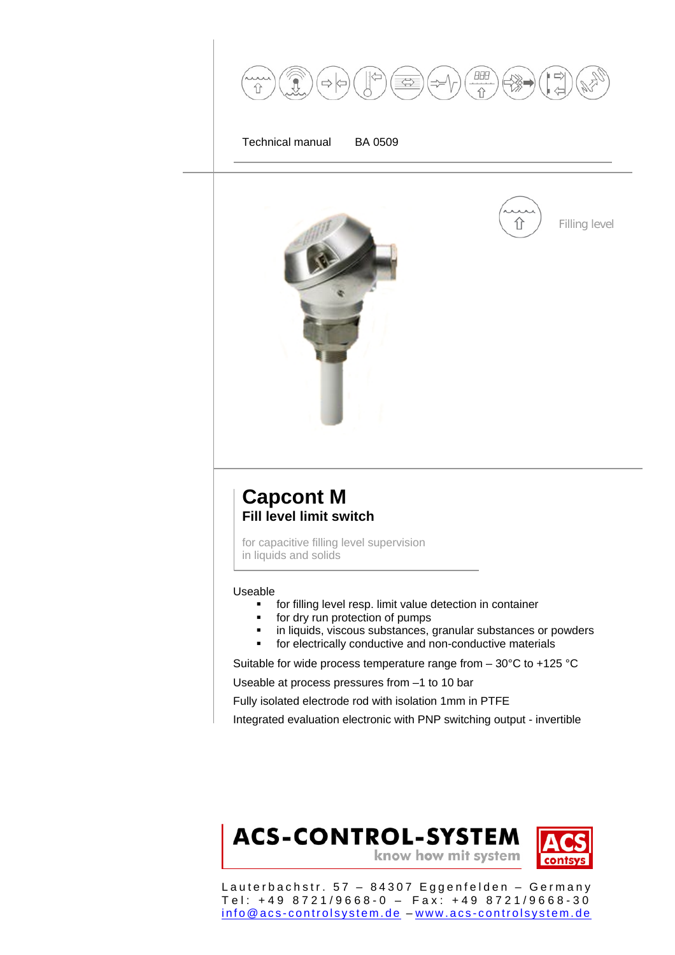

#### **ACS-CONTROL-SYSTEM** know how mit system



Lauterbachstr. 57 – 84307 Eggenfelden – Germany Tel: +49 8721/9668-0 – Fax: +49 8721/9668-30 info@acs-controlsystem.de – www.acs-controlsystem.de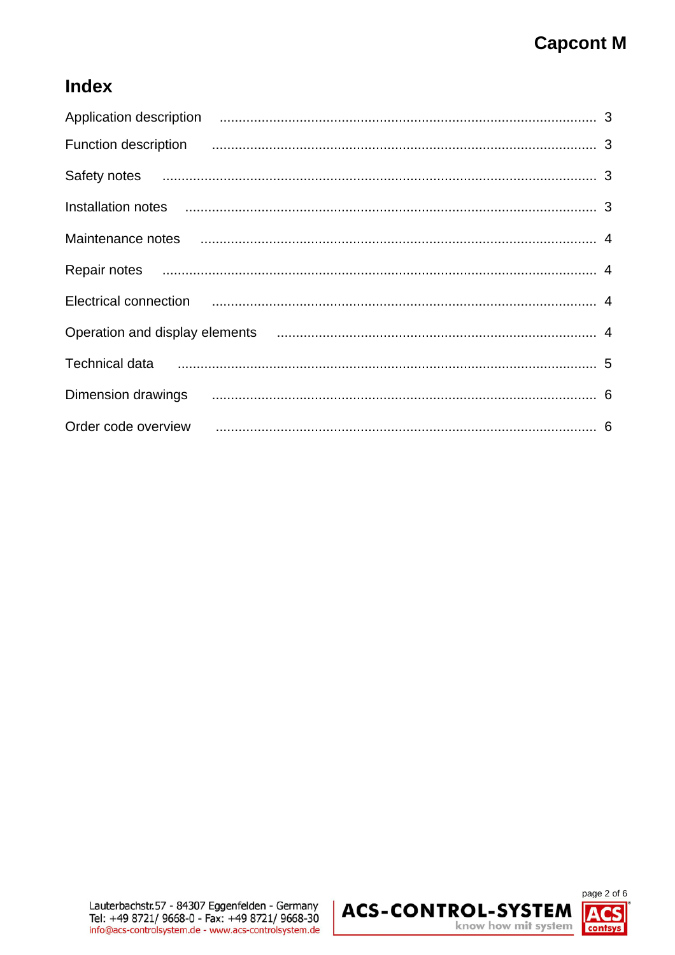## **Index**

| Function description <b>continuum continuum contract and continuum contract and continuum contract and continuum contract and continuum contract and continuum contract and continuum contract and continuum contract and contin</b>     |  |
|------------------------------------------------------------------------------------------------------------------------------------------------------------------------------------------------------------------------------------------|--|
|                                                                                                                                                                                                                                          |  |
|                                                                                                                                                                                                                                          |  |
|                                                                                                                                                                                                                                          |  |
|                                                                                                                                                                                                                                          |  |
| Electrical connection <b>contracts</b> and <b>matter of the contract of the connection</b> of the connection of the connection of the connection of the connection of the connection of the connection of the connection of the connecti |  |
|                                                                                                                                                                                                                                          |  |
| Technical data <i>musicanal communication</i> and the set of the set of the set of the set of the set of the set of the set of the set of the set of the set of the set of the set of the set of the set of the set of the set of t      |  |
| Dimension drawings <b>continuum continuum contract and continuum contract and continuum contract and continuum continuum continuum continuum continuum continuum continuum continuum continuum continuum continuum continuum con</b>     |  |
| Order code overview <b>manufacture and contract to the contract of the code overview</b> 6                                                                                                                                               |  |

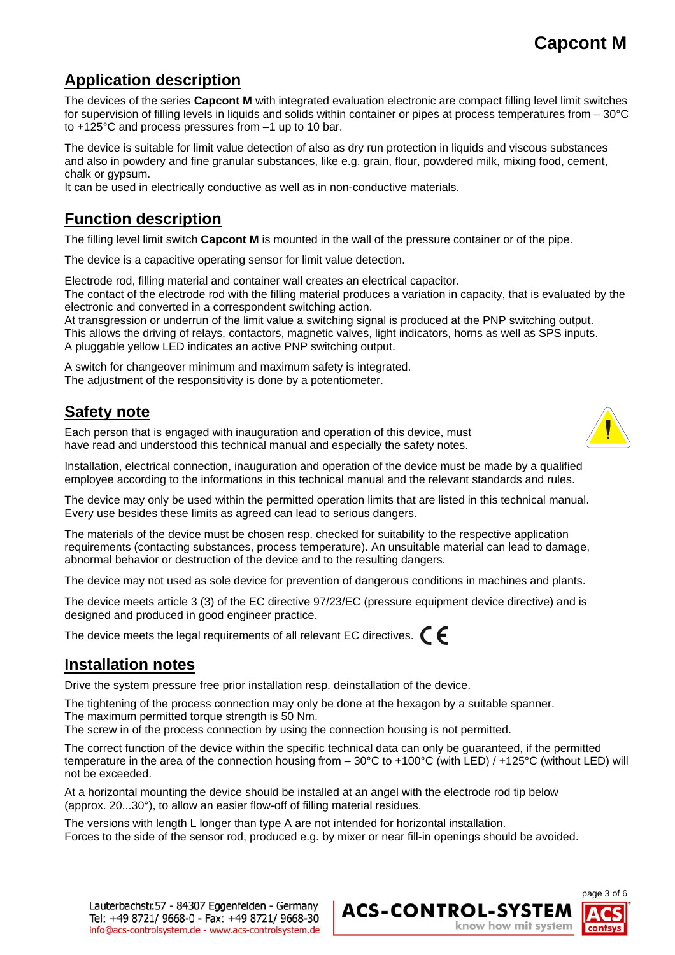### **Application description**

The devices of the series **Capcont M** with integrated evaluation electronic are compact filling level limit switches for supervision of filling levels in liquids and solids within container or pipes at process temperatures from – 30°C to +125°C and process pressures from –1 up to 10 bar.

The device is suitable for limit value detection of also as dry run protection in liquids and viscous substances and also in powdery and fine granular substances, like e.g. grain, flour, powdered milk, mixing food, cement, chalk or gypsum.

It can be used in electrically conductive as well as in non-conductive materials.

### **Function description**

The filling level limit switch **Capcont M** is mounted in the wall of the pressure container or of the pipe.

The device is a capacitive operating sensor for limit value detection.

Electrode rod, filling material and container wall creates an electrical capacitor.

The contact of the electrode rod with the filling material produces a variation in capacity, that is evaluated by the electronic and converted in a correspondent switching action.

At transgression or underrun of the limit value a switching signal is produced at the PNP switching output. This allows the driving of relays, contactors, magnetic valves, light indicators, horns as well as SPS inputs. A pluggable yellow LED indicates an active PNP switching output.

A switch for changeover minimum and maximum safety is integrated. The adjustment of the responsitivity is done by a potentiometer.

### **Safety note**

Each person that is engaged with inauguration and operation of this device, must have read and understood this technical manual and especially the safety notes.



The device may only be used within the permitted operation limits that are listed in this technical manual. Every use besides these limits as agreed can lead to serious dangers.

The materials of the device must be chosen resp. checked for suitability to the respective application requirements (contacting substances, process temperature). An unsuitable material can lead to damage, abnormal behavior or destruction of the device and to the resulting dangers.

The device may not used as sole device for prevention of dangerous conditions in machines and plants.

The device meets article 3 (3) of the EC directive 97/23/EC (pressure equipment device directive) and is designed and produced in good engineer practice.

The device meets the legal requirements of all relevant EC directives.  $\bigcap$ 

#### **Installation notes**

Drive the system pressure free prior installation resp. deinstallation of the device.

The tightening of the process connection may only be done at the hexagon by a suitable spanner. The maximum permitted torque strength is 50 Nm.

The screw in of the process connection by using the connection housing is not permitted.

The correct function of the device within the specific technical data can only be guaranteed, if the permitted temperature in the area of the connection housing from – 30°C to +100°C (with LED) / +125°C (without LED) will not be exceeded.

At a horizontal mounting the device should be installed at an angel with the electrode rod tip below (approx. 20...30°), to allow an easier flow-off of filling material residues.

The versions with length L longer than type A are not intended for horizontal installation. Forces to the side of the sensor rod, produced e.g. by mixer or near fill-in openings should be avoided.



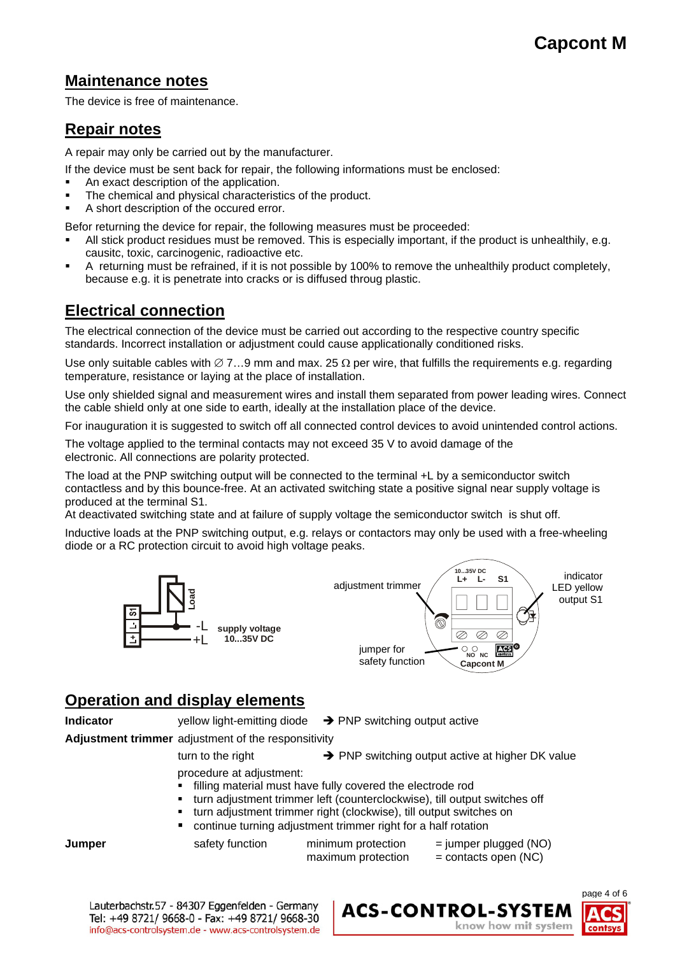#### **Maintenance notes**

The device is free of maintenance.

### **Repair notes**

A repair may only be carried out by the manufacturer.

If the device must be sent back for repair, the following informations must be enclosed:

- An exact description of the application.
- The chemical and physical characteristics of the product.
- A short description of the occured error.

Befor returning the device for repair, the following measures must be proceeded:

- All stick product residues must be removed. This is especially important, if the product is unhealthily, e.g. causitc, toxic, carcinogenic, radioactive etc.
- A returning must be refrained, if it is not possible by 100% to remove the unhealthily product completely, because e.g. it is penetrate into cracks or is diffused throug plastic.

### **Electrical connection**

The electrical connection of the device must be carried out according to the respective country specific standards. Incorrect installation or adjustment could cause applicationally conditioned risks.

Use only suitable cables with  $\varnothing$  7...9 mm and max. 25  $\Omega$  per wire, that fulfills the requirements e.g. regarding temperature, resistance or laying at the place of installation.

Use only shielded signal and measurement wires and install them separated from power leading wires. Connect the cable shield only at one side to earth, ideally at the installation place of the device.

For inauguration it is suggested to switch off all connected control devices to avoid unintended control actions.

The voltage applied to the terminal contacts may not exceed 35 V to avoid damage of the electronic. All connections are polarity protected.

The load at the PNP switching output will be connected to the terminal +L by a semiconductor switch contactless and by this bounce-free. At an activated switching state a positive signal near supply voltage is produced at the terminal S1.

At deactivated switching state and at failure of supply voltage the semiconductor switch is shut off.

Inductive loads at the PNP switching output, e.g. relays or contactors may only be used with a free-wheeling diode or a RC protection circuit to avoid high voltage peaks.



### **Operation and display elements**

**Indicator** vellow light-emitting diode → PNP switching output active

**Adjustment trimmer** adjustment of the responsitivity

turn to the right  $\rightarrow$  PNP switching output active at higher DK value

procedure at adjustment:

- filling material must have fully covered the electrode rod
- turn adjustment trimmer left (counterclockwise), till output switches off
- turn adjustment trimmer right (clockwise), till output switches on
	- continue turning adjustment trimmer right for a half rotation

**Jumper safety function** minimum protection = jumper plugged (NO)  $maximum protection = contacts open (NC)$ 



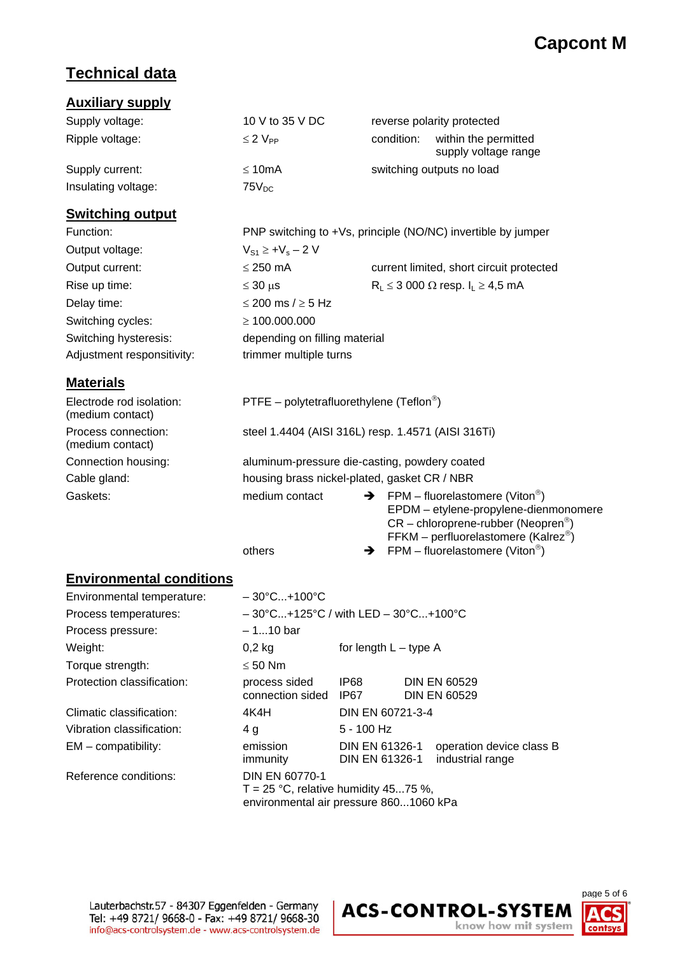supply voltage range

FFKM – perfluorelastomere (Kalrez®)

### **Technical data**

#### **Auxiliary supply** Supply voltage: 10 V to 35 V DC reverse polarity protected Ripple voltage:  $\leq 2 \text{ V}_{PP}$  condition: within the permitted

Supply current: ≤ 10mA switching outputs no load Insulating voltage:  $75V_{DC}$ 

#### **Switching output**

| Function:                  | PNP switching to +Vs, principle (NO/NC) invertible by jumper |                                              |  |  |  |
|----------------------------|--------------------------------------------------------------|----------------------------------------------|--|--|--|
| Output voltage:            | $V_{S1} \geq +V_s - 2V$                                      |                                              |  |  |  |
| Output current:            | $\leq$ 250 mA                                                | current limited, short circuit protected     |  |  |  |
| Rise up time:              | $\leq 30$ µs                                                 | $R_L \le 3000 \Omega$ resp. $I_L \ge 4.5$ mA |  |  |  |
| Delay time:                | $\leq$ 200 ms / $\geq$ 5 Hz                                  |                                              |  |  |  |
| Switching cycles:          | $\geq 100.000.000$                                           |                                              |  |  |  |
| Switching hysteresis:      | depending on filling material                                |                                              |  |  |  |
| Adjustment responsitivity: | trimmer multiple turns                                       |                                              |  |  |  |

#### **Materials**

| Electrode rod isolation:<br>(medium contact) | PTFE – polytetrafluorethylene (Teflon <sup>®</sup> )                                                                                                            |  |  |  |  |
|----------------------------------------------|-----------------------------------------------------------------------------------------------------------------------------------------------------------------|--|--|--|--|
| Process connection:<br>(medium contact)      | steel 1.4404 (AISI 316L) resp. 1.4571 (AISI 316Ti)                                                                                                              |  |  |  |  |
| Connection housing:                          | aluminum-pressure die-casting, powdery coated                                                                                                                   |  |  |  |  |
| Cable gland:                                 | housing brass nickel-plated, gasket CR / NBR                                                                                                                    |  |  |  |  |
| Gaskets:                                     | FPM – fluorelastomere (Viton <sup>®</sup> )<br>medium contact<br>$\rightarrow$<br>EPDM - etylene-propylene-dienmonomere<br>$CR$ – chloroprene-rubber (Neopren®) |  |  |  |  |

others  $\rightarrow$  FPM – fluorelastomere (Viton®)

#### **Environmental conditions**

| Environmental temperature: | $-30^{\circ}$ C+100 $^{\circ}$ C                                                                 |                                  |  |                                              |  |  |
|----------------------------|--------------------------------------------------------------------------------------------------|----------------------------------|--|----------------------------------------------|--|--|
| Process temperatures:      | $-30^{\circ}$ C+125°C / with LED $-30^{\circ}$ C+100°C                                           |                                  |  |                                              |  |  |
| Process pressure:          | $-110$ bar                                                                                       |                                  |  |                                              |  |  |
| Weight:                    | $0,2$ kg                                                                                         | for length $L -$ type A          |  |                                              |  |  |
| Torque strength:           | $\leq 50$ Nm                                                                                     |                                  |  |                                              |  |  |
| Protection classification: | process sided<br>connection sided                                                                | IP68<br>IP67                     |  | <b>DIN EN 60529</b><br><b>DIN EN 60529</b>   |  |  |
| Climatic classification:   | 4K4H                                                                                             | DIN EN 60721-3-4                 |  |                                              |  |  |
| Vibration classification:  | 4 g                                                                                              | $5 - 100$ Hz                     |  |                                              |  |  |
| $EM$ – compatibility:      | emission<br>immunity                                                                             | DIN EN 61326-1<br>DIN EN 61326-1 |  | operation device class B<br>industrial range |  |  |
| Reference conditions:      | DIN EN 60770-1<br>T = 25 °C, relative humidity 4575 %,<br>environmental air pressure 8601060 kPa |                                  |  |                                              |  |  |